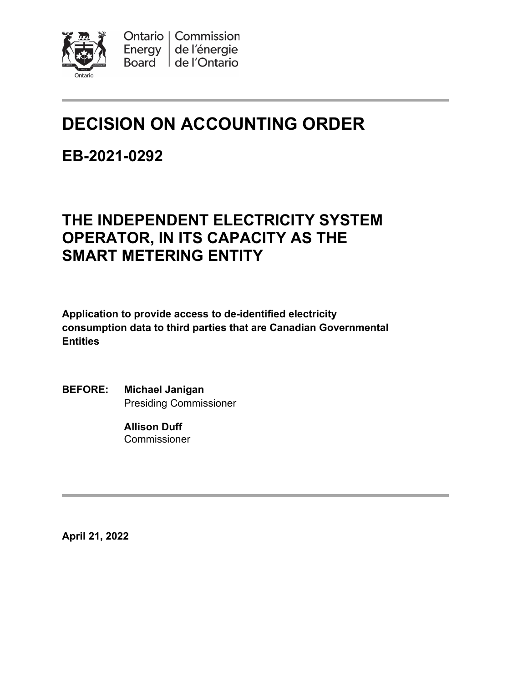

# **DECISION ON ACCOUNTING ORDER**

## **EB-2021-0292**

## **THE INDEPENDENT ELECTRICITY SYSTEM OPERATOR, IN ITS CAPACITY AS THE SMART METERING ENTITY**

**Application to provide access to de-identified electricity consumption data to third parties that are Canadian Governmental Entities**

**BEFORE: Michael Janigan** Presiding Commissioner

> **Allison Duff Commissioner**

**April 21, 2022**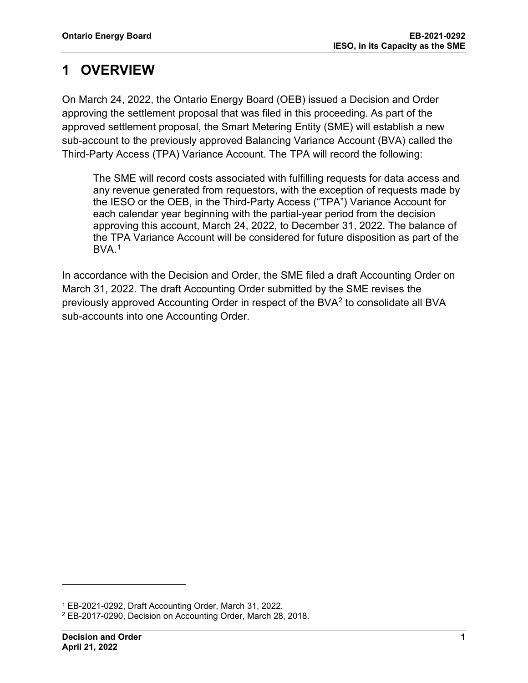## **1 OVERVIEW**

On March 24, 2022, the Ontario Energy Board (OEB) issued a Decision and Order approving the settlement proposal that was filed in this proceeding. As part of the approved settlement proposal, the Smart Metering Entity (SME) will establish a new sub-account to the previously approved Balancing Variance Account (BVA) called the Third-Party Access (TPA) Variance Account. The TPA will record the following:

The SME will record costs associated with fulfilling requests for data access and any revenue generated from requestors, with the exception of requests made by the IESO or the OEB, in the Third-Party Access ("TPA") Variance Account for each calendar year beginning with the partial-year period from the decision approving this account, March 24, 2022, to December 31, 2022. The balance of the TPA Variance Account will be considered for future disposition as part of the  $BVA.<sup>1</sup>$  $BVA.<sup>1</sup>$  $BVA.<sup>1</sup>$ 

In accordance with the Decision and Order, the SME filed a draft Accounting Order on March 31, 2022. The draft Accounting Order submitted by the SME revises the previously approved Accounting Order in respect of the BVA[2](#page-1-1) to consolidate all BVA sub-accounts into one Accounting Order.

<span id="page-1-0"></span><sup>1</sup> EB-2021-0292, Draft Accounting Order, March 31, 2022.

<span id="page-1-1"></span><sup>2</sup> EB-2017-0290, Decision on Accounting Order, March 28, 2018.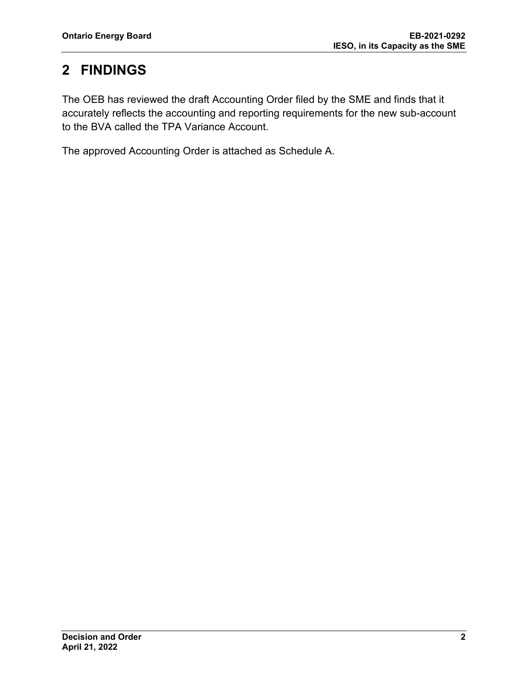## **2 FINDINGS**

The OEB has reviewed the draft Accounting Order filed by the SME and finds that it accurately reflects the accounting and reporting requirements for the new sub-account to the BVA called the TPA Variance Account.

The approved Accounting Order is attached as Schedule A.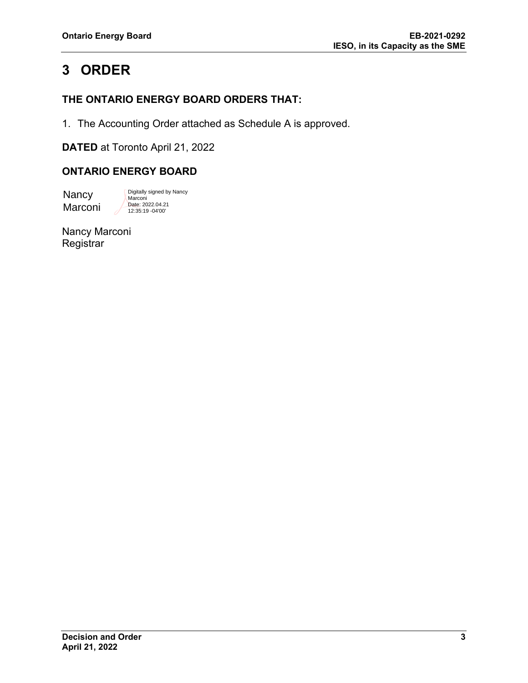## **3 ORDER**

### **THE ONTARIO ENERGY BOARD ORDERS THAT:**

1. The Accounting Order attached as Schedule A is approved.

**DATED** at Toronto April 21, 2022

### **ONTARIO ENERGY BOARD**

**Nancy** Marconi

Digitally signed by Nancy Marconi Date: 2022.04.21 12:35:19 -04'00'

Nancy Marconi **Registrar**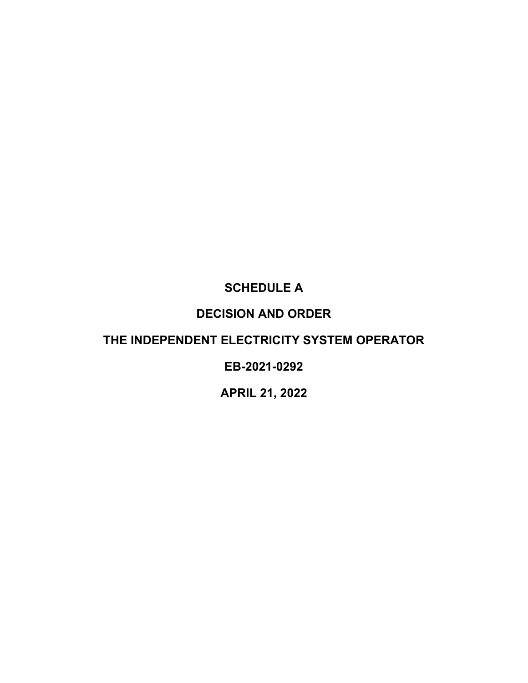### **SCHEDULE A**

### **DECISION AND ORDER**

### **THE INDEPENDENT ELECTRICITY SYSTEM OPERATOR**

### **EB-2021-0292**

### **APRIL 21, 2022**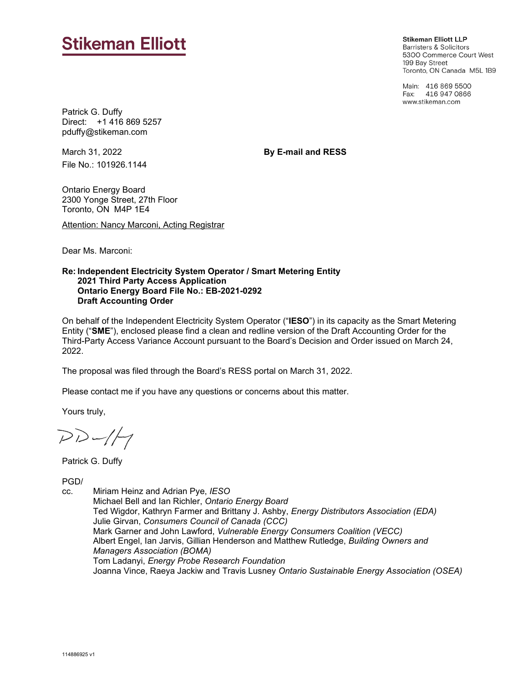## **Stikeman Elliott**

**Stikeman Elliott LLP Barristers & Solicitors** 5300 Commerce Court West 199 Bay Street Toronto, ON Canada M5L 1B9

Main: 416 869 5500 Fax: 416 947 0866 www.stikeman.com

Patrick G. Duffy Direct: +1 416 869 5257 pduffy@stikeman.com

March 31, 2022 File No.: 101926.1144 **By E-mail and RESS**

Ontario Energy Board 2300 Yonge Street, 27th Floor Toronto, ON M4P 1E4

Attention: Nancy Marconi, Acting Registrar

Dear Ms. Marconi:

#### **Re: Independent Electricity System Operator / Smart Metering Entity 2021 Third Party Access Application Ontario Energy Board File No.: EB-2021-0292 Draft Accounting Order**

On behalf of the Independent Electricity System Operator ("**IESO**") in its capacity as the Smart Metering Entity ("**SME**"), enclosed please find a clean and redline version of the Draft Accounting Order for the Third-Party Access Variance Account pursuant to the Board's Decision and Order issued on March 24, 2022.

The proposal was filed through the Board's RESS portal on March 31, 2022.

Please contact me if you have any questions or concerns about this matter.

Yours truly,

 $DD-1/7$ 

Patrick G. Duffy

PGD/

cc. Miriam Heinz and Adrian Pye, *IESO*

Michael Bell and Ian Richler, *Ontario Energy Board*  Ted Wigdor, Kathryn Farmer and Brittany J. Ashby, *Energy Distributors Association (EDA)*  Julie Girvan, *Consumers Council of Canada (CCC)*  Mark Garner and John Lawford, *Vulnerable Energy Consumers Coalition (VECC)*  Albert Engel, Ian Jarvis, Gillian Henderson and Matthew Rutledge, *Building Owners and Managers Association (BOMA)* Tom Ladanyi, *Energy Probe Research Foundation* Joanna Vince, Raeya Jackiw and Travis Lusney *Ontario Sustainable Energy Association (OSEA)*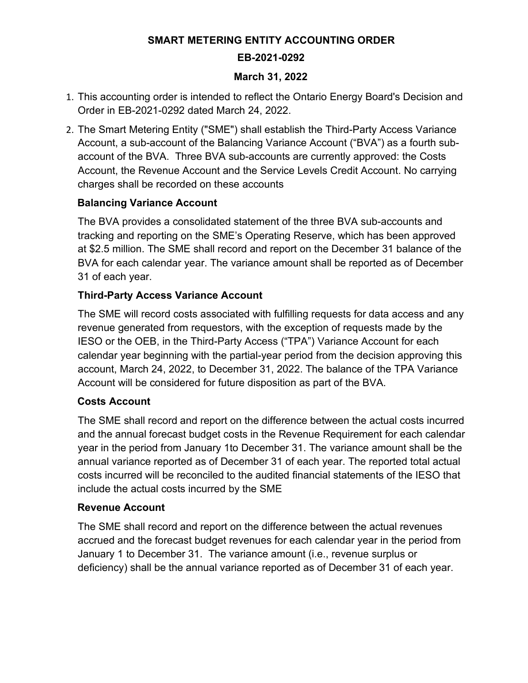## **SMART METERING ENTITY ACCOUNTING ORDER EB-2021-0292**

#### **March 31, 2022**

- 1. This accounting order is intended to reflect the Ontario Energy Board's Decision and Order in EB-2021-0292 dated March 24, 2022.
- 2. The Smart Metering Entity ("SME") shall establish the Third-Party Access Variance Account, a sub-account of the Balancing Variance Account ("BVA") as a fourth subaccount of the BVA. Three BVA sub-accounts are currently approved: the Costs Account, the Revenue Account and the Service Levels Credit Account. No carrying charges shall be recorded on these accounts

### **Balancing Variance Account**

The BVA provides a consolidated statement of the three BVA sub-accounts and tracking and reporting on the SME's Operating Reserve, which has been approved at \$2.5 million. The SME shall record and report on the December 31 balance of the BVA for each calendar year. The variance amount shall be reported as of December 31 of each year.

### **Third-Party Access Variance Account**

The SME will record costs associated with fulfilling requests for data access and any revenue generated from requestors, with the exception of requests made by the IESO or the OEB, in the Third-Party Access ("TPA") Variance Account for each calendar year beginning with the partial-year period from the decision approving this account, March 24, 2022, to December 31, 2022. The balance of the TPA Variance Account will be considered for future disposition as part of the BVA.

### **Costs Account**

The SME shall record and report on the difference between the actual costs incurred and the annual forecast budget costs in the Revenue Requirement for each calendar year in the period from January 1to December 31. The variance amount shall be the annual variance reported as of December 31 of each year. The reported total actual costs incurred will be reconciled to the audited financial statements of the IESO that include the actual costs incurred by the SME

### **Revenue Account**

The SME shall record and report on the difference between the actual revenues accrued and the forecast budget revenues for each calendar year in the period from January 1 to December 31. The variance amount (i.e., revenue surplus or deficiency) shall be the annual variance reported as of December 31 of each year.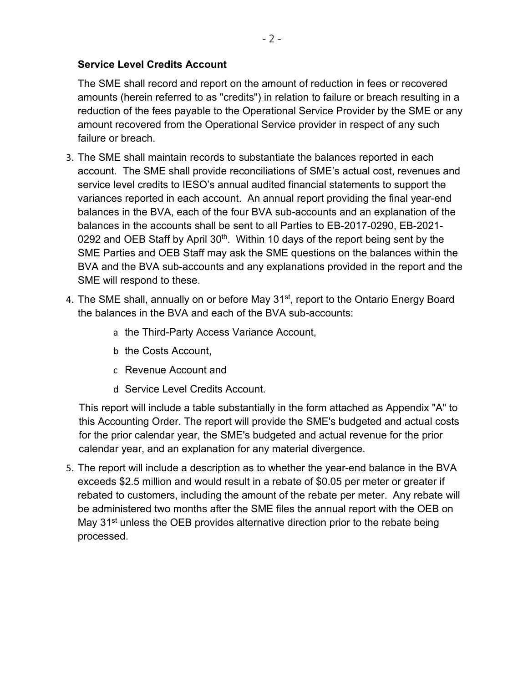### **Service Level Credits Account**

The SME shall record and report on the amount of reduction in fees or recovered amounts (herein referred to as "credits") in relation to failure or breach resulting in a reduction of the fees payable to the Operational Service Provider by the SME or any amount recovered from the Operational Service provider in respect of any such failure or breach.

- 3. The SME shall maintain records to substantiate the balances reported in each account. The SME shall provide reconciliations of SME's actual cost, revenues and service level credits to IESO's annual audited financial statements to support the variances reported in each account. An annual report providing the final year-end balances in the BVA, each of the four BVA sub-accounts and an explanation of the balances in the accounts shall be sent to all Parties to EB-2017-0290, EB-2021- 0292 and OEB Staff by April 30<sup>th</sup>. Within 10 days of the report being sent by the SME Parties and OEB Staff may ask the SME questions on the balances within the BVA and the BVA sub-accounts and any explanations provided in the report and the SME will respond to these.
- 4. The SME shall, annually on or before May 31<sup>st</sup>, report to the Ontario Energy Board the balances in the BVA and each of the BVA sub-accounts:
	- a the Third-Party Access Variance Account,
	- b the Costs Account,
	- c Revenue Account and
	- d Service Level Credits Account.

This report will include a table substantially in the form attached as Appendix "A" to this Accounting Order. The report will provide the SME's budgeted and actual costs for the prior calendar year, the SME's budgeted and actual revenue for the prior calendar year, and an explanation for any material divergence.

5. The report will include a description as to whether the year-end balance in the BVA exceeds \$2.5 million and would result in a rebate of \$0.05 per meter or greater if rebated to customers, including the amount of the rebate per meter. Any rebate will be administered two months after the SME files the annual report with the OEB on May 31<sup>st</sup> unless the OEB provides alternative direction prior to the rebate being processed.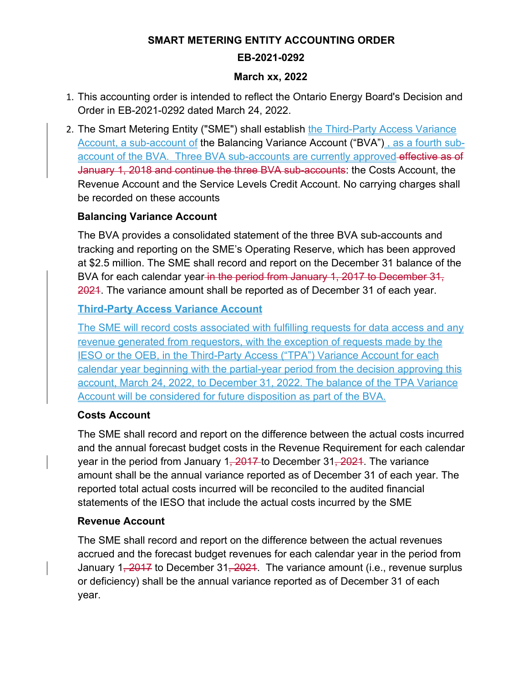### **SMART METERING ENTITY ACCOUNTING ORDER EB-2021-0292**

#### **March xx, 2022**

- 1. This accounting order is intended to reflect the Ontario Energy Board's Decision and Order in EB-2021-0292 dated March 24, 2022.
- 2. The Smart Metering Entity ("SME") shall establish the Third-Party Access Variance Account, a sub-account of the Balancing Variance Account ("BVA") , as a fourth subaccount of the BVA. Three BVA sub-accounts are currently approved effective as of January 1, 2018 and continue the three BVA sub-accounts: the Costs Account, the Revenue Account and the Service Levels Credit Account. No carrying charges shall be recorded on these accounts

### **Balancing Variance Account**

The BVA provides a consolidated statement of the three BVA sub-accounts and tracking and reporting on the SME's Operating Reserve, which has been approved at \$2.5 million. The SME shall record and report on the December 31 balance of the BVA for each calendar year in the period from January 1, 2017 to December 31, 2021. The variance amount shall be reported as of December 31 of each year.

### **Third-Party Access Variance Account**

The SME will record costs associated with fulfilling requests for data access and any revenue generated from requestors, with the exception of requests made by the IESO or the OEB, in the Third-Party Access ("TPA") Variance Account for each calendar year beginning with the partial-year period from the decision approving this account, March 24, 2022, to December 31, 2022. The balance of the TPA Variance Account will be considered for future disposition as part of the BVA.

### **Costs Account**

The SME shall record and report on the difference between the actual costs incurred and the annual forecast budget costs in the Revenue Requirement for each calendar year in the period from January 1, 2017 to December 31, 2021. The variance amount shall be the annual variance reported as of December 31 of each year. The reported total actual costs incurred will be reconciled to the audited financial statements of the IESO that include the actual costs incurred by the SME

#### **Revenue Account**

The SME shall record and report on the difference between the actual revenues accrued and the forecast budget revenues for each calendar year in the period from January 1, 2017 to December 31, 2021. The variance amount (i.e., revenue surplus or deficiency) shall be the annual variance reported as of December 31 of each year.